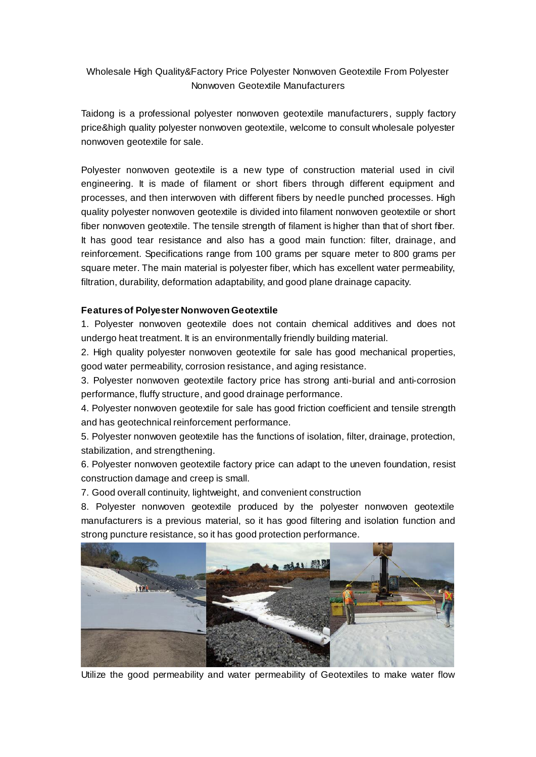# Wholesale High Quality&Factory Price Polyester Nonwoven Geotextile From Polyester Nonwoven Geotextile Manufacturers

Taidong is a professional polyester nonwoven geotextile manufacturers, supply factory price&high quality polyester nonwoven geotextile, welcome to consult wholesale polyester nonwoven geotextile for sale.

Polyester nonwoven geotextile is a new type of construction material used in civil engineering. It is made of filament or short fibers through different equipment and processes, and then interwoven with different fibers by needle punched processes. High quality polyester nonwoven geotextile is divided into filament nonwoven geotextile or short fiber nonwoven geotextile. The tensile strength of filament is higher than that of short fiber. It has good tear resistance and also has a good main function: filter, drainage, and reinforcement. Specifications range from 100 grams per square meter to 800 grams per square meter. The main material is polyester fiber, which has excellent water permeability, filtration, durability, deformation adaptability, and good plane drainage capacity.

### **Features of Polyester Nonwoven Geotextile**

1. Polyester nonwoven geotextile does not contain chemical additives and does not undergo heat treatment. It is an environmentally friendly building material.

2. High quality polyester nonwoven geotextile for sale has good mechanical properties, good water permeability, corrosion resistance, and aging resistance.

3. Polyester nonwoven geotextile factory price has strong anti-burial and anti-corrosion performance, fluffy structure, and good drainage performance.

4. Polyester nonwoven geotextile for sale has good friction coefficient and tensile strength and has geotechnical reinforcement performance.

5. Polyester nonwoven geotextile has the functions of isolation, filter, drainage, protection, stabilization, and strengthening.

6. Polyester nonwoven geotextile factory price can adapt to the uneven foundation, resist construction damage and creep is small.

7. Good overall continuity, lightweight, and convenient construction

8. Polyester nonwoven geotextile produced by the polyester nonwoven geotextile manufacturers is a previous material, so it has good filtering and isolation function and strong puncture resistance, so it has good protection performance.



Utilize the good permeability and water permeability of Geotextiles to make water flow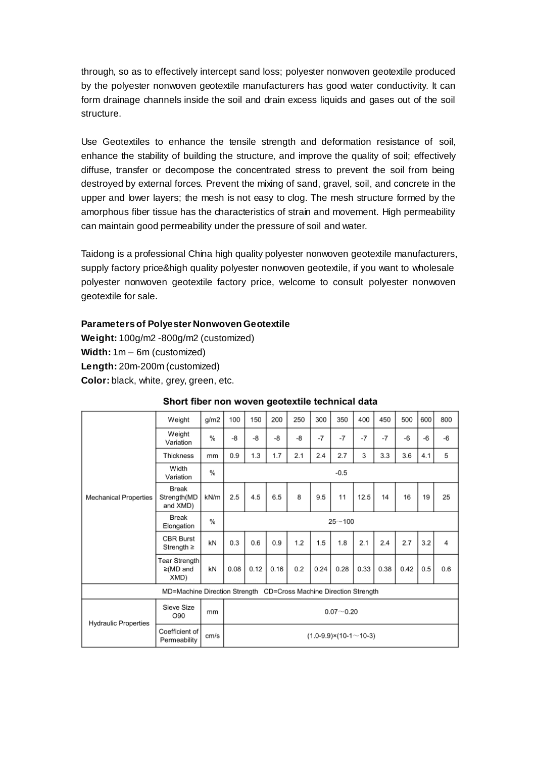through, so as to effectively intercept sand loss; polyester nonwoven geotextile produced by the polyester nonwoven geotextile manufacturers has good water conductivity. It can form drainage channels inside the soil and drain excess liquids and gases out of the soil structure.

Use Geotextiles to enhance the tensile strength and deformation resistance of soil, enhance the stability of building the structure, and improve the quality of soil; effectively diffuse, transfer or decompose the concentrated stress to prevent the soil from being destroyed by external forces. Prevent the mixing of sand, gravel, soil, and concrete in the upper and lower layers; the mesh is not easy to clog. The mesh structure formed by the amorphous fiber tissue has the characteristics of strain and movement. High permeability can maintain good permeability under the pressure of soil and water.

Taidong is a professional China high quality polyester nonwoven geotextile manufacturers, supply factory price&high quality polyester nonwoven geotextile, if you want to wholesale polyester nonwoven geotextile factory price, welcome to consult polyester nonwoven geotextile for sale.

### **Parameters of Polyester Nonwoven Geotextile**

**Weight:** 100g/m2 -800g/m2 (customized) **Width:** 1m – 6m (customized) **Length:** 20m-200m (customized) **Color:** black, white, grey, green, etc.

| <b>Mechanical Properties</b>                                      | Weight                                  | g/m2          | 100                                 | 150  | 200  | 250 | 300  | 350  | 400  | 450  | 500  | 600  | 800  |
|-------------------------------------------------------------------|-----------------------------------------|---------------|-------------------------------------|------|------|-----|------|------|------|------|------|------|------|
|                                                                   | Weight<br>Variation                     | $\frac{0}{0}$ | -8                                  | -8   | -8   | -8  | $-7$ | $-7$ | $-7$ | $-7$ | $-6$ | $-6$ | $-6$ |
|                                                                   | Thickness                               | mm            | 0.9                                 | 1.3  | 1.7  | 2.1 | 2.4  | 2.7  | 3    | 3.3  | 3.6  | 4.1  | 5    |
|                                                                   | Width<br>Variation                      | %             | $-0.5$                              |      |      |     |      |      |      |      |      |      |      |
|                                                                   | Break<br>Strength(MD<br>and XMD)        | kN/m          | 2.5                                 | 4.5  | 6.5  | 8   | 9.5  | 11   | 12.5 | 14   | 16   | 19   | 25   |
|                                                                   | Break<br>Elongation                     | $\frac{0}{0}$ | $25 - 100$                          |      |      |     |      |      |      |      |      |      |      |
|                                                                   | <b>CBR Burst</b><br>Strength $\geq$     | kN            | 0.3                                 | 0.6  | 0.9  | 1.2 | 1.5  | 1.8  | 2.1  | 2.4  | 2.7  | 3.2  | 4    |
|                                                                   | Tear Strength<br>$\geq$ (MD and<br>XMD) | kN            | 0.08                                | 0.12 | 0.16 | 0.2 | 0.24 | 0.28 | 0.33 | 0.38 | 0.42 | 0.5  | 0.6  |
| MD=Machine Direction Strength CD=Cross Machine Direction Strength |                                         |               |                                     |      |      |     |      |      |      |      |      |      |      |
| <b>Hydraulic Properties</b>                                       | Sieve Size<br>O90                       | mm            | $0.07 - 0.20$                       |      |      |     |      |      |      |      |      |      |      |
|                                                                   | Coefficient of<br>Permeability          | cm/s          | $(1.0-9.9) \times (10-1 \sim 10-3)$ |      |      |     |      |      |      |      |      |      |      |

#### Short fiber non woven geotextile technical data